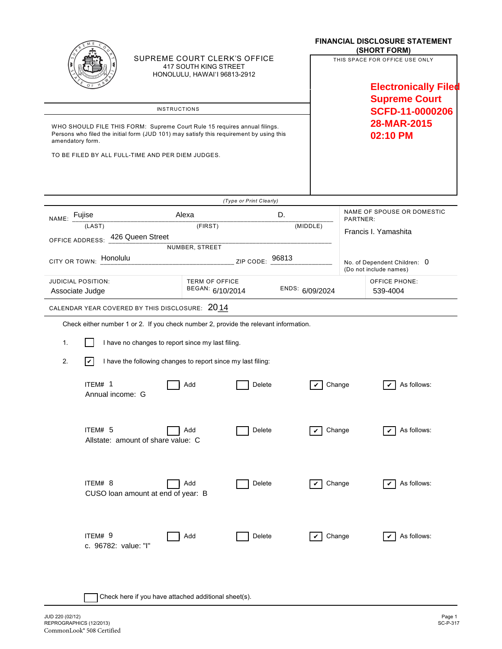| SUPREME COURT CLERK'S OFFICE<br>417 SOUTH KING STREET<br>HONOLULU, HAWAI'I 96813-2912<br><b>INSTRUCTIONS</b><br>WHO SHOULD FILE THIS FORM: Supreme Court Rule 15 requires annual filings.<br>Persons who filed the initial form (JUD 101) may satisfy this requirement by using this<br>amendatory form.<br>TO BE FILED BY ALL FULL-TIME AND PER DIEM JUDGES. |                                           |                 | <b>FINANCIAL DISCLOSURE STATEMENT</b><br>(SHORT FORM)<br>THIS SPACE FOR OFFICE USE ONLY<br><b>Electronically Filed</b><br><b>Supreme Court</b><br>SCFD-11-0000206<br>28-MAR-2015<br>02:10 PM |
|---------------------------------------------------------------------------------------------------------------------------------------------------------------------------------------------------------------------------------------------------------------------------------------------------------------------------------------------------------------|-------------------------------------------|-----------------|----------------------------------------------------------------------------------------------------------------------------------------------------------------------------------------------|
| NAME: Fujise                                                                                                                                                                                                                                                                                                                                                  | (Type or Print Clearly)<br>Alexa          | D.              | NAME OF SPOUSE OR DOMESTIC<br>PARTNER:                                                                                                                                                       |
| (LAST)                                                                                                                                                                                                                                                                                                                                                        | (FIRST)                                   | (MIDDLE)        | Francis I. Yamashita                                                                                                                                                                         |
| OFFICE ADDRESS: 426 Queen Street<br>NUMBER, STREET                                                                                                                                                                                                                                                                                                            |                                           |                 |                                                                                                                                                                                              |
| CITY OR TOWN: Honolulu                                                                                                                                                                                                                                                                                                                                        | ZIP CODE: 96813                           |                 | No. of Dependent Children: 0<br>(Do not include names)                                                                                                                                       |
| <b>JUDICIAL POSITION:</b><br>Associate Judge                                                                                                                                                                                                                                                                                                                  | <b>TERM OF OFFICE</b><br>BEGAN: 6/10/2014 | ENDS: 6/09/2024 | <b>OFFICE PHONE:</b><br>539-4004                                                                                                                                                             |
| CALENDAR YEAR COVERED BY THIS DISCLOSURE: 2014                                                                                                                                                                                                                                                                                                                |                                           |                 |                                                                                                                                                                                              |
| Check either number 1 or 2. If you check number 2, provide the relevant information.                                                                                                                                                                                                                                                                          |                                           |                 |                                                                                                                                                                                              |
| I have no changes to report since my last filing.<br>1.                                                                                                                                                                                                                                                                                                       |                                           |                 |                                                                                                                                                                                              |
| 2.<br>$ \boldsymbol{v} $<br>I have the following changes to report since my last filing:                                                                                                                                                                                                                                                                      |                                           |                 |                                                                                                                                                                                              |
| ITEM# 1<br>Annual income: G                                                                                                                                                                                                                                                                                                                                   | Add<br>Delete                             | Change          | As follows:                                                                                                                                                                                  |
| ITEM# 5<br>Allstate: amount of share value: C                                                                                                                                                                                                                                                                                                                 | Add<br>Delete                             | Change<br>V     | As follows:<br>✓                                                                                                                                                                             |
| ITEM# 8<br>CUSO loan amount at end of year: B                                                                                                                                                                                                                                                                                                                 | Add<br>Delete                             | Change<br>V     | As follows:                                                                                                                                                                                  |
| ITEM# 9<br>c. 96782: value: "I"                                                                                                                                                                                                                                                                                                                               | Delete<br>Add                             | Change          | As follows:                                                                                                                                                                                  |

| Check here if you have attached additional sheet(s).